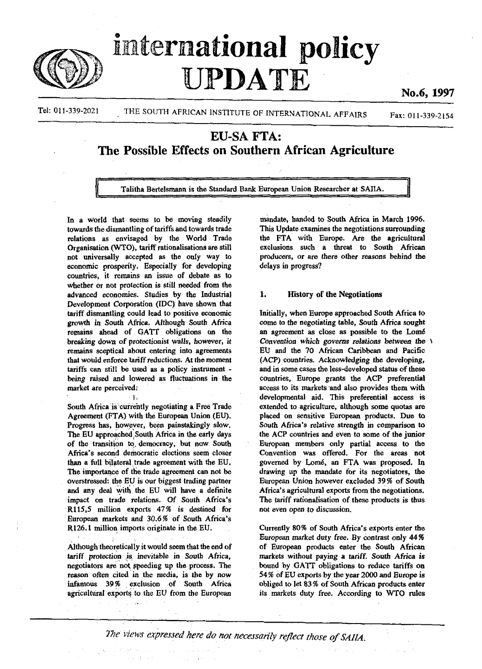

# international policy PDATE

No.6, 1997

Tel: 011-339-2021 THE SOUTH AFRICAN INSTITUTE OF INTERNATIONAL AFFAIRS Fax: 011-339-2154

# EU-SA FTA: The Possible Effects on Southern African Agriculture

Talitha Bertelsmann is the Standard Bank European Union Researcher at SAIIA.

In a World that seems to be moving steadily towards the dismantling of tariffs and towards trade relations as envisaged by the World Trade Organisation (WTO), tariff rationalisations are still not universally accepted as the only way to economic prosperity. Especially for developing countries, it remains an issue of debate as to whether or not protection is still needed from the advanced economies. Studies by the Industrial Development Corporation (IDC) have shown that tariff dismantling could lead to positive economic growth in South Africa. Although South Africa remains ahead of GATT obligations on the breaking down of protectionist walls, however, it remains sceptical about entering into agreements that would enforce tariff reductions. At the moment tariffs can still be used as a policy instrument being raised and lowered as fluctuations in the menny raised and low<br>11 metatra perceived.

#### $\mathbf{I}$

South Africa is currently negotiating a Free Trade Agreement (FTA) with the European Union (EU). Progress has, however, been painstakingly slow. The EU approached South Africa in the early days of the transition to, democracy, but now South Africa's second democratic elections seem closer than a full bilateral trade agreement with the EU. The importance of the trade agreement can not be overstressed: the EU is our biggest trading partner and any deal with the EU will have a definite impact on trade relations. Of South Africa's R.115,5 million exports 47% is destined for European markets and 30.6% of South Africa's R126.1 million imports originate in the EU.

Although theoretically it would seem that the end of tariff protection is inevitable in South Africa, negotiators are not, speeding up the process. The reason often cited in the media, is the by now infamous 39 *%* exclusion of South Africa agricultural exports to the EU from the European

mandate, handed to South Africa in March 1996. This Update examines the negotiations surrounding the FTA with Europe. Are the agricultural exclusions such a threat to South African producers, or are there other *reasons* behind the delays in progress?

# 1. History of the Negotiations

Initially, when Europe approached South Africa to come to the negotiating table, South Africa sought an agreement as close as possible to the Lomé Convention which governs relations between the  $\lambda$ EU and the 70 African Caribbean and Pacific (ACP) countries. Acknowledging the developing, and in some cases the less-developed status of these countries, Europe grants the ACP preferential access to its markets and also provides them with developmental aid. This preferential access is extended to agriculture, although some quotas are placed on sensitive European products. Due to South Africa's relative strength in comparison to the ACP countries and even to some of the junior European members only partial access to the Convention was offered. For the areas not governed by Lomé, an FTA was proposed. In drawing up the mandate for its negotiators, the European Union however excluded 39 *%* of South Africa's agricultural exports from the negotiations. The tariff rationalisation of these products is thus not even open *to* discussion.

Currently 80% of South Africa's exports enter the European market duty free. By contrast only 44% of European products enter the South African markets without paying a tariff. South Africa is bound by GATT obligations to reduce tariffs on 54% of EU exports by the year 2000 and Europe is obliged to let 83% of South African products enter its markets duty free. According to WTO rules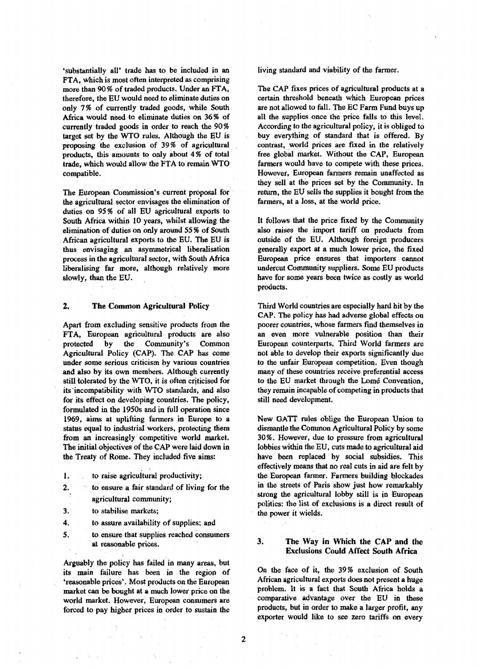'substantially all' trade has to be included in an FTA, which is most often interpreted as comprising more than 90% of traded products. Under an FTA, therefore, the EU would need to eliminate duties on only 7% of currently traded goods, while South Africa would need to eliminate duties on 36 % of currently traded goods in order to reach the 90% target set by the WTO rules. Although the EU is proposing the exclusion of 39% of agricultural products, this amounts to only about 4 % of total trade, which would allow the FTA to remain WTO compatible.

The European Commission's current proposal for the agricultural sector envisages the elimination of duties on 95% of all EU agricultural exports to South Africa within 10 years, whilst allowing the elimination of duties on only around 55 % of South African agricultural exports to the EU. The EU is thus envisaging an asymmetrical liberalisation process in the agricultural sector, with South Africa liberalising far more, although relatively more slowly, than the EU.

### **2. The** Common **Agricultural** Policy

Apart from excluding sensitive products from the FTA, European agricultural products are also protected by the Community's Common Agricultural Policy (CAP). The CAP has come under some serious criticism by various countries and also by its own members. Although currently still tolerated by the WTO, it is often criticised for its incompatibility with WTO standards, and also for its effect on developing countries. The policy, formulated in the 1950s and in full operation since 1969, aims at uplifting farmers in Europe to a status equal to industrial workers, protecting them from an increasingly competitive world market. The initial objectives of the CAP were laid down in the Treaty of Rome. They included five aims:

- 1. to raise agricultural productivity;
- 2. to ensure a fair standard of living for the agricultural community;
- 3. to stabilise markets;
- 4. to assure availability of supplies; and
- 5. to ensure that supplies reached consumers at reasonable prices.

Arguably the policy has failed in many areas, but its main failure has been in the region of 'reasonable prices\*. Most products on the European market can be bought at a much lower price on the world market. However, European consumers are forced to pay higher prices in order to sustain the living standard and viability of the farmer.

The CAP fixes prices of agricultural products at a certain threshold beneath which European prices are not allowed to fall. The EC Farm Fund buys up all the supplies once the price falls to this level. According to the agricultural policy, it is obliged to buy everything of standard that is offered. By contrast, world prices are fixed in the relatively free global market. Without the CAP, European farmers would have to compete with these prices. However, European farmers remain unaffected as they sell at the prices set by the Community. In return, the EU sells the supplies it bought from the farmers, at a loss, at the world price.

It follows that the price fixed by the Community also raises the import tariff on products from outside of the EU. Although foreign producers generally export at a much lower price, the fixed European price ensures that importers cannot undercut Community suppliers. Some EU products have for some years been twice as costly as world products.

Third World countries are especially hard hit by the CAP. The policy has had adverse global effects on poorer countries, whose farmers find themselves in an even more vulnerable position than their European counterparts. Third World fanners are not able to develop their exports significantly due to the unfair European competition. Even though many of these countries receive preferential access  $\frac{1}{2}$  is the EU market through the Lome Convention. they remain incapable of competing in products that still need development.

New GATT rules oblige the European Union to dismantle the Common Agricultural Policy by some 30%. However, due to pressure from agricultural lobbies within the EU, cuts made to agricultural aid have been replaced by social subsidies. This effectively means that no real cuts in aid are felt by the European farmer. Farmers building blockades in the streets of Paris show just how remarkably strong the agricultural lobby still is in European politics: the list of exclusions is a direct result of the power it wields.

# **3. The Way in Which the CAP and the Exclusions Could Affect South Africa**

On the face of it, the 39% exclusion of South African agricultural exports does not present a huge problem. It is a fact that South Africa holds a comparative advantage over the EU in these products, but in order to make a larger profit, any exporter would like to see zero tariffs on every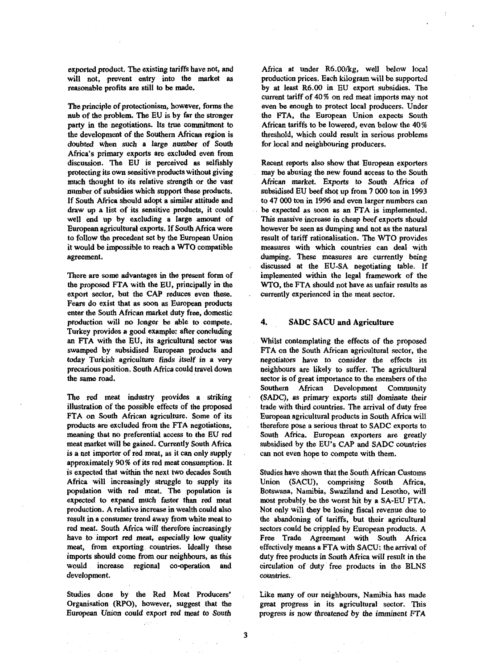exported product. The existing tariffs have not, and will not, prevent entry into the market as reasonable profits are still to be made.

The principle of protectionism, however, forms the nub of the problem. The EU is by far the stronger party in the negotiations. Its true commitment to the development of the Southern African region is doubted when such a large number of South Africa's primary exports are excluded even from discussion. The EU is perceived as selfishly protecting its own sensitive products without giving much thought to its relative strength or the vast number of subsidies which support these products. If South Africa should adopt a similar attitude and draw up a list of its sensitive products, it could well end up by excluding a large amount of European agricultural exports. If South Africa were to follow the precedent set by the European Union it would be impossible to reach a WTO compatible agreement.

There are some advantages in the present form of the proposed FTA with the EU, principally in the export sector, but the CAP reduces even these. Fears do exist that as soon as European products enter the South African market duty free, domestic production will no longer be able to compete. Turkey provides a good example: after concluding an FTA with the EU, its agricultural sector was swamped by subsidised European products and today Turkish agriculture finds itself in a very precarious position. South Africa could travel down the same road.

The red meat industry provides a striking illustration of the possible effects of the proposed FTA on South African agriculture. Some of its products are excluded from the FTA negotiations, meaning that no preferential access to the EU red meat market will be gained. Currently South Africa is a net importer of red meat, as it can only supply approximately 90% of its red meat consumption. It is expected that within the next two decades South Africa will increasingly struggle to supply its population with red meat. The population is expected to expand much faster than red meat production. A relative increase in wealth could also result in a consumer trend away from white meat to red meat. South Africa will therefore increasingly have *to* import red meat, especially Jow quality meat, from exporting countries. Ideally these imports should come from our neighbours, as this would increase regional co-operation and development.

Studies done by the Red Meat Producers' Organisation (RPO), however, suggest that the European Union could export red meat to South

 $\gamma_{\rm{eff}}$  ,  $\gamma_{\rm{eff}}$ 

Africa at under R6.00/kg, well below local production prices. Each kilogram will be supported by at least R6.00 in EU export subsidies. The current tariff of 40% on red meat imports may not even be enough to protect local producers. Under the FTA, the European Union expects South African tariffs to be lowered, even below the 40% threshold, which could result in serious problems for local and neighbouring producers.

Recent reports also show that European exporters may be abusing the new found access to the South African market. Exports *to South* Africa of subsidised EU beef shot up from 7 000 ton in 1993 to 47 000 ton in 1996 and even larger numbers can be expected as soon as an FTA is implemented. This massive increase in cheap beef exports should however be seen as dumping and not as the natural result of tariff rationalisation. The WTO provides measures with which countries can deal with dumping. These measures are currently being discussed at the EU-SA negotiating table. If implemented within the legal framework of the WTO, the FTA should not have as unfair results as currently experienced in the meat sector.

# 4. SADC SACU and Agriculture

Whilst contemplating the effects of the proposed FTA on the South African agricultural sector, the negotiators have to consider the effects its neighbours are likely to suffer. The agricultural sector is of great importance to the members of the Southern African Development Community (SADC), as primary exports still dominate their trade with third countries. The arrival of duty free European agricultural products in South Africa will therefore pose a serious threat to SADC exports to South Africa. European exporters are greatly subsidised by the EU's CAP and SADC countries can not even hope to compete with them.

Studies have shown that the South African Customs Union (SACU), comprising South Africa, Botswana, Namibia, Swaziland and Lesotho, will most probably be the worst hit by a SA-EU FTA. Not only will they be losing fiscal revenue due to the abandoning of tariffs, but their agricultural sectors could be crippled by European products. A Free Trade Agreement with South Africa effectively means a FTA with SACU: the arrival of duty free products in South Africa will result in the circulation of duty free products in the BLNS countries.

Like many of our neighbours, Namibia has made great progress in its agricultural sector. This progress is now threatened by the imminent FTA